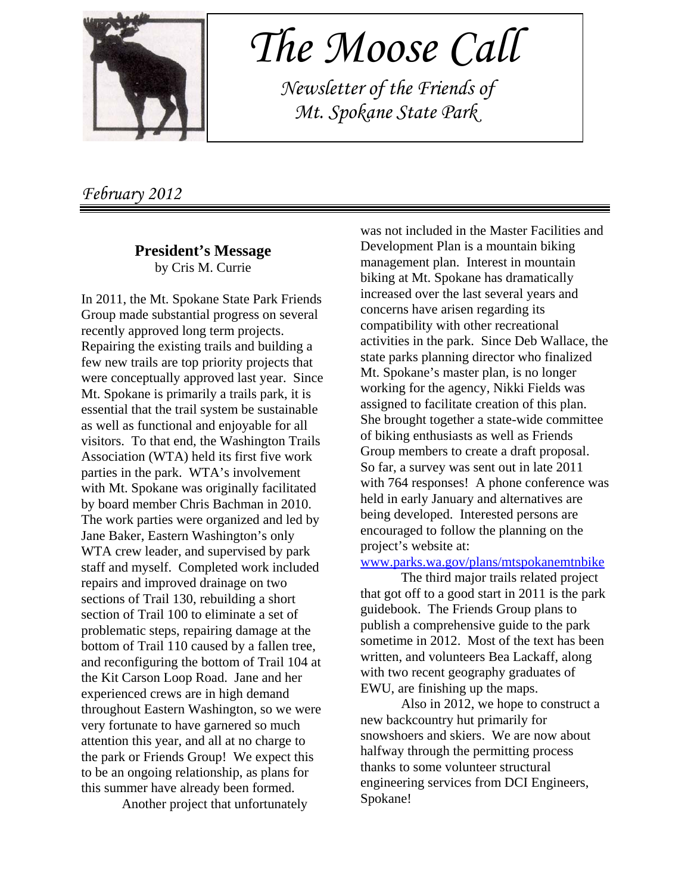

 *The Moose Call*

 *Newsletter of the Friends of Mt. Spokane State Park*

*February 2012*

#### **President's Message** by Cris M. Currie

In 2011, the Mt. Spokane State Park Friends Group made substantial progress on several recently approved long term projects. Repairing the existing trails and building a few new trails are top priority projects that were conceptually approved last year. Since Mt. Spokane is primarily a trails park, it is essential that the trail system be sustainable as well as functional and enjoyable for all visitors. To that end, the Washington Trails Association (WTA) held its first five work parties in the park. WTA's involvement with Mt. Spokane was originally facilitated by board member Chris Bachman in 2010. The work parties were organized and led by Jane Baker, Eastern Washington's only WTA crew leader, and supervised by park staff and myself. Completed work included repairs and improved drainage on two sections of Trail 130, rebuilding a short section of Trail 100 to eliminate a set of problematic steps, repairing damage at the bottom of Trail 110 caused by a fallen tree, and reconfiguring the bottom of Trail 104 at the Kit Carson Loop Road. Jane and her experienced crews are in high demand throughout Eastern Washington, so we were very fortunate to have garnered so much attention this year, and all at no charge to the park or Friends Group! We expect this to be an ongoing relationship, as plans for this summer have already been formed.

Another project that unfortunately

was not included in the Master Facilities and Development Plan is a mountain biking management plan. Interest in mountain biking at Mt. Spokane has dramatically increased over the last several years and concerns have arisen regarding its compatibility with other recreational activities in the park. Since Deb Wallace, the state parks planning director who finalized Mt. Spokane's master plan, is no longer working for the agency, Nikki Fields was assigned to facilitate creation of this plan. She brought together a state-wide committee of biking enthusiasts as well as Friends Group members to create a draft proposal. So far, a survey was sent out in late 2011 with 764 responses! A phone conference was held in early January and alternatives are being developed. Interested persons are encouraged to follow the planning on the project's website at:

www.parks.wa.gov/plans/mtspokanemtnbike

The third major trails related project that got off to a good start in 2011 is the park guidebook. The Friends Group plans to publish a comprehensive guide to the park sometime in 2012. Most of the text has been written, and volunteers Bea Lackaff, along with two recent geography graduates of EWU, are finishing up the maps.

Also in 2012, we hope to construct a new backcountry hut primarily for snowshoers and skiers. We are now about halfway through the permitting process thanks to some volunteer structural engineering services from DCI Engineers, Spokane!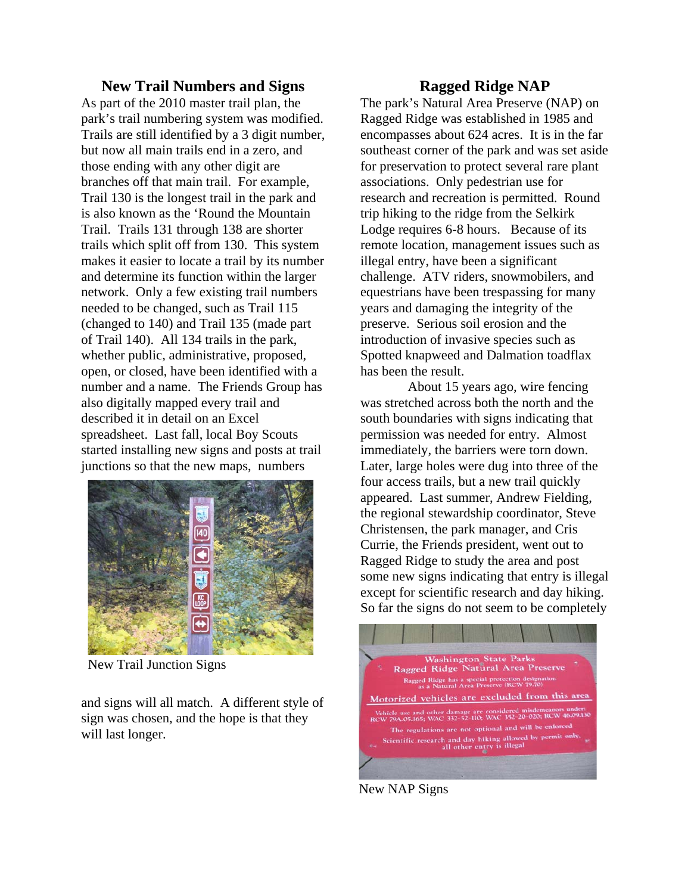#### **New Trail Numbers and Signs**

As part of the 2010 master trail plan, the park's trail numbering system was modified. Trails are still identified by a 3 digit number, but now all main trails end in a zero, and those ending with any other digit are branches off that main trail. For example, Trail 130 is the longest trail in the park and is also known as the 'Round the Mountain Trail. Trails 131 through 138 are shorter trails which split off from 130. This system makes it easier to locate a trail by its number and determine its function within the larger network. Only a few existing trail numbers needed to be changed, such as Trail 115 (changed to 140) and Trail 135 (made part of Trail 140). All 134 trails in the park, whether public, administrative, proposed, open, or closed, have been identified with a number and a name. The Friends Group has also digitally mapped every trail and described it in detail on an Excel spreadsheet. Last fall, local Boy Scouts started installing new signs and posts at trail junctions so that the new maps, numbers



New Trail Junction Signs

and signs will all match. A different style of sign was chosen, and the hope is that they will last longer.

## **Ragged Ridge NAP**

The park's Natural Area Preserve (NAP) on Ragged Ridge was established in 1985 and encompasses about 624 acres. It is in the far southeast corner of the park and was set aside for preservation to protect several rare plant associations. Only pedestrian use for research and recreation is permitted. Round trip hiking to the ridge from the Selkirk Lodge requires 6-8 hours. Because of its remote location, management issues such as illegal entry, have been a significant challenge. ATV riders, snowmobilers, and equestrians have been trespassing for many years and damaging the integrity of the preserve. Serious soil erosion and the introduction of invasive species such as Spotted knapweed and Dalmation toadflax has been the result.

 About 15 years ago, wire fencing was stretched across both the north and the south boundaries with signs indicating that permission was needed for entry. Almost immediately, the barriers were torn down. Later, large holes were dug into three of the four access trails, but a new trail quickly appeared. Last summer, Andrew Fielding, the regional stewardship coordinator, Steve Christensen, the park manager, and Cris Currie, the Friends president, went out to Ragged Ridge to study the area and post some new signs indicating that entry is illegal except for scientific research and day hiking. So far the signs do not seem to be completely



New NAP Signs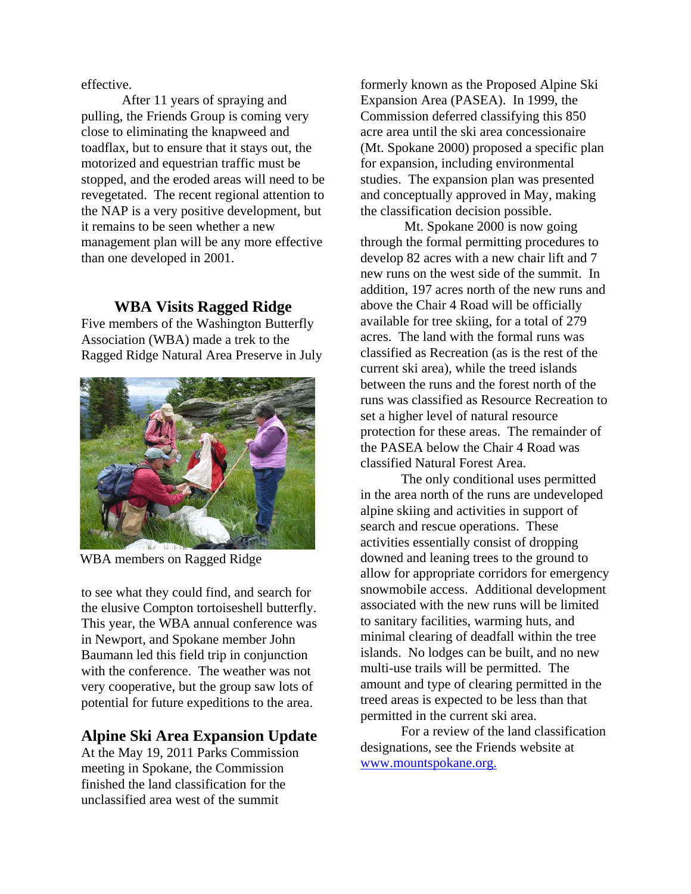effective.

After 11 years of spraying and pulling, the Friends Group is coming very close to eliminating the knapweed and toadflax, but to ensure that it stays out, the motorized and equestrian traffic must be stopped, and the eroded areas will need to be revegetated. The recent regional attention to the NAP is a very positive development, but it remains to be seen whether a new management plan will be any more effective than one developed in 2001.

### **WBA Visits Ragged Ridge**

Five members of the Washington Butterfly Association (WBA) made a trek to the Ragged Ridge Natural Area Preserve in July



WBA members on Ragged Ridge

to see what they could find, and search for the elusive Compton tortoiseshell butterfly. This year, the WBA annual conference was in Newport, and Spokane member John Baumann led this field trip in conjunction with the conference. The weather was not very cooperative, but the group saw lots of potential for future expeditions to the area.

## **Alpine Ski Area Expansion Update**

At the May 19, 2011 Parks Commission meeting in Spokane, the Commission finished the land classification for the unclassified area west of the summit

formerly known as the Proposed Alpine Ski Expansion Area (PASEA). In 1999, the Commission deferred classifying this 850 acre area until the ski area concessionaire (Mt. Spokane 2000) proposed a specific plan for expansion, including environmental studies. The expansion plan was presented and conceptually approved in May, making the classification decision possible.

 Mt. Spokane 2000 is now going through the formal permitting procedures to develop 82 acres with a new chair lift and 7 new runs on the west side of the summit. In addition, 197 acres north of the new runs and above the Chair 4 Road will be officially available for tree skiing, for a total of 279 acres. The land with the formal runs was classified as Recreation (as is the rest of the current ski area), while the treed islands between the runs and the forest north of the runs was classified as Resource Recreation to set a higher level of natural resource protection for these areas. The remainder of the PASEA below the Chair 4 Road was classified Natural Forest Area.

The only conditional uses permitted in the area north of the runs are undeveloped alpine skiing and activities in support of search and rescue operations. These activities essentially consist of dropping downed and leaning trees to the ground to allow for appropriate corridors for emergency snowmobile access. Additional development associated with the new runs will be limited to sanitary facilities, warming huts, and minimal clearing of deadfall within the tree islands. No lodges can be built, and no new multi-use trails will be permitted. The amount and type of clearing permitted in the treed areas is expected to be less than that permitted in the current ski area.

For a review of the land classification designations, see the Friends website at www.mountspokane.org.